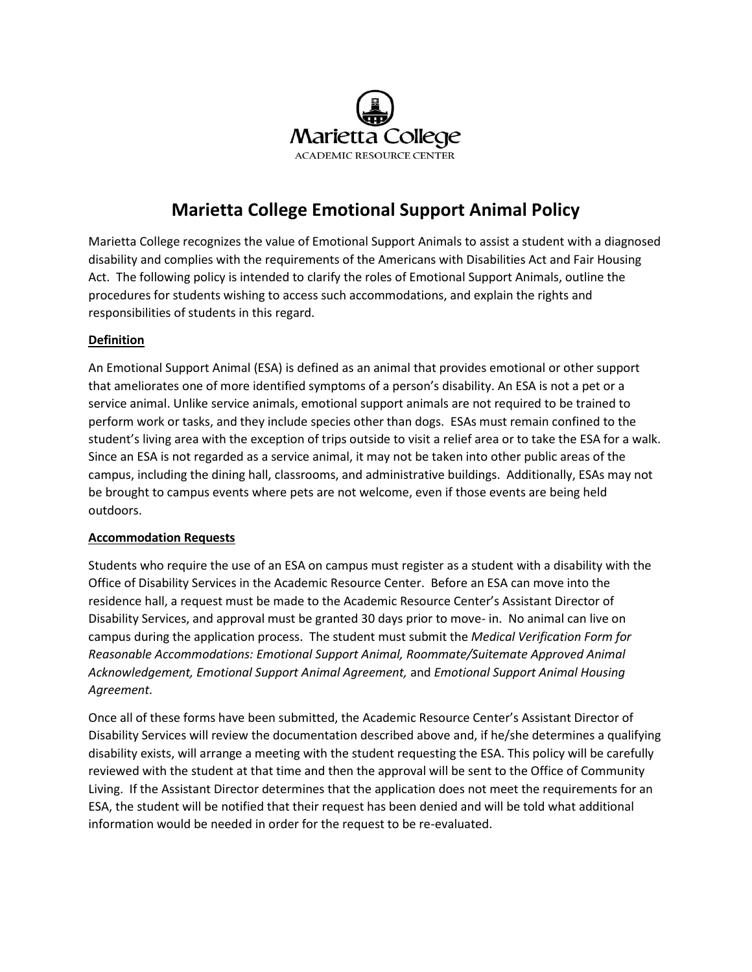

### **Marietta College Emotional Support Animal Policy**

Marietta College recognizes the value of Emotional Support Animals to assist a student with a diagnosed disability and complies with the requirements of the Americans with Disabilities Act and Fair Housing Act. The following policy is intended to clarify the roles of Emotional Support Animals, outline the procedures for students wishing to access such accommodations, and explain the rights and responsibilities of students in this regard.

### **Definition**

An Emotional Support Animal (ESA) is defined as an animal that provides emotional or other support that ameliorates one of more identified symptoms of a person's disability. An ESA is not a pet or a service animal. Unlike service animals, emotional support animals are not required to be trained to perform work or tasks, and they include species other than dogs. ESAs must remain confined to the student's living area with the exception of trips outside to visit a relief area or to take the ESA for a walk. Since an ESA is not regarded as a service animal, it may not be taken into other public areas of the campus, including the dining hall, classrooms, and administrative buildings. Additionally, ESAs may not be brought to campus events where pets are not welcome, even if those events are being held outdoors.

#### **Accommodation Requests**

Students who require the use of an ESA on campus must register as a student with a disability with the Office of Disability Services in the Academic Resource Center. Before an ESA can move into the residence hall, a request must be made to the Academic Resource Center's Assistant Director of Disability Services, and approval must be granted 30 days prior to move- in. No animal can live on campus during the application process. The student must submit the *Medical Verification Form for Reasonable Accommodations: Emotional Support Animal, Roommate/Suitemate Approved Animal Acknowledgement, Emotional Support Animal Agreement,* and *Emotional Support Animal Housing Agreement.* 

Once all of these forms have been submitted, the Academic Resource Center's Assistant Director of Disability Services will review the documentation described above and, if he/she determines a qualifying disability exists, will arrange a meeting with the student requesting the ESA. This policy will be carefully reviewed with the student at that time and then the approval will be sent to the Office of Community Living. If the Assistant Director determines that the application does not meet the requirements for an ESA, the student will be notified that their request has been denied and will be told what additional information would be needed in order for the request to be re-evaluated.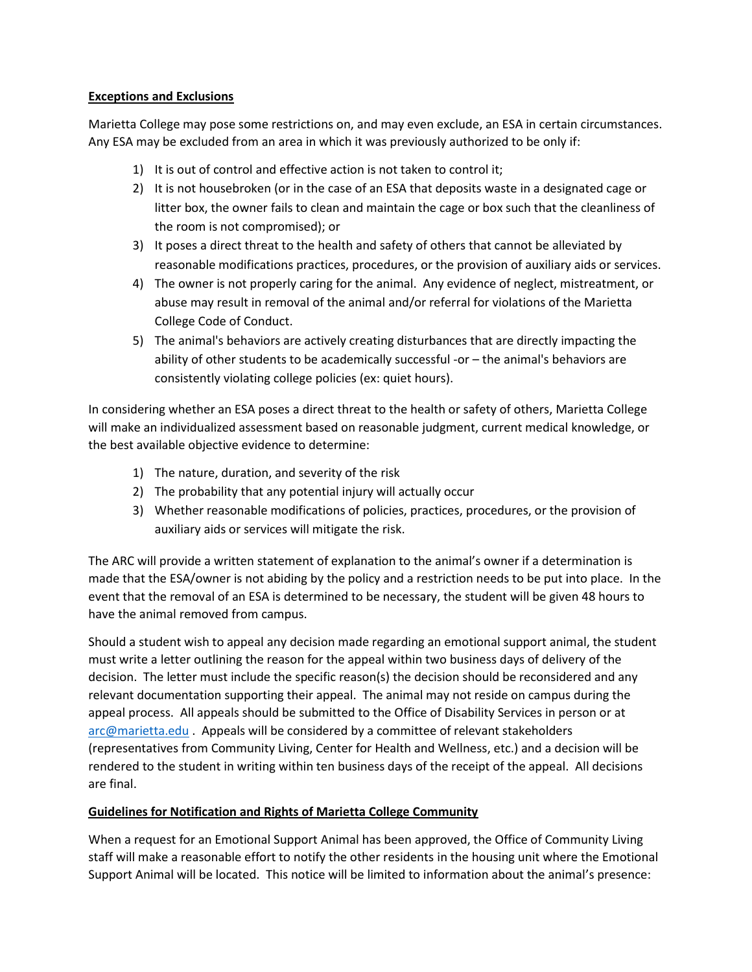### **Exceptions and Exclusions**

Marietta College may pose some restrictions on, and may even exclude, an ESA in certain circumstances. Any ESA may be excluded from an area in which it was previously authorized to be only if:

- 1) It is out of control and effective action is not taken to control it;
- 2) It is not housebroken (or in the case of an ESA that deposits waste in a designated cage or litter box, the owner fails to clean and maintain the cage or box such that the cleanliness of the room is not compromised); or
- 3) It poses a direct threat to the health and safety of others that cannot be alleviated by reasonable modifications practices, procedures, or the provision of auxiliary aids or services.
- 4) The owner is not properly caring for the animal. Any evidence of neglect, mistreatment, or abuse may result in removal of the animal and/or referral for violations of the Marietta College Code of Conduct.
- 5) The animal's behaviors are actively creating disturbances that are directly impacting the ability of other students to be academically successful -or – the animal's behaviors are consistently violating college policies (ex: quiet hours).

In considering whether an ESA poses a direct threat to the health or safety of others, Marietta College will make an individualized assessment based on reasonable judgment, current medical knowledge, or the best available objective evidence to determine:

- 1) The nature, duration, and severity of the risk
- 2) The probability that any potential injury will actually occur
- 3) Whether reasonable modifications of policies, practices, procedures, or the provision of auxiliary aids or services will mitigate the risk.

The ARC will provide a written statement of explanation to the animal's owner if a determination is made that the ESA/owner is not abiding by the policy and a restriction needs to be put into place. In the event that the removal of an ESA is determined to be necessary, the student will be given 48 hours to have the animal removed from campus.

Should a student wish to appeal any decision made regarding an emotional support animal, the student must write a letter outlining the reason for the appeal within two business days of delivery of the decision. The letter must include the specific reason(s) the decision should be reconsidered and any relevant documentation supporting their appeal. The animal may not reside on campus during the appeal process. All appeals should be submitted to the Office of Disability Services in person or at [arc@marietta.edu](mailto:arc@marietta.edu) . Appeals will be considered by a committee of relevant stakeholders (representatives from Community Living, Center for Health and Wellness, etc.) and a decision will be rendered to the student in writing within ten business days of the receipt of the appeal. All decisions are final.

### **Guidelines for Notification and Rights of Marietta College Community**

When a request for an Emotional Support Animal has been approved, the Office of Community Living staff will make a reasonable effort to notify the other residents in the housing unit where the Emotional Support Animal will be located. This notice will be limited to information about the animal's presence: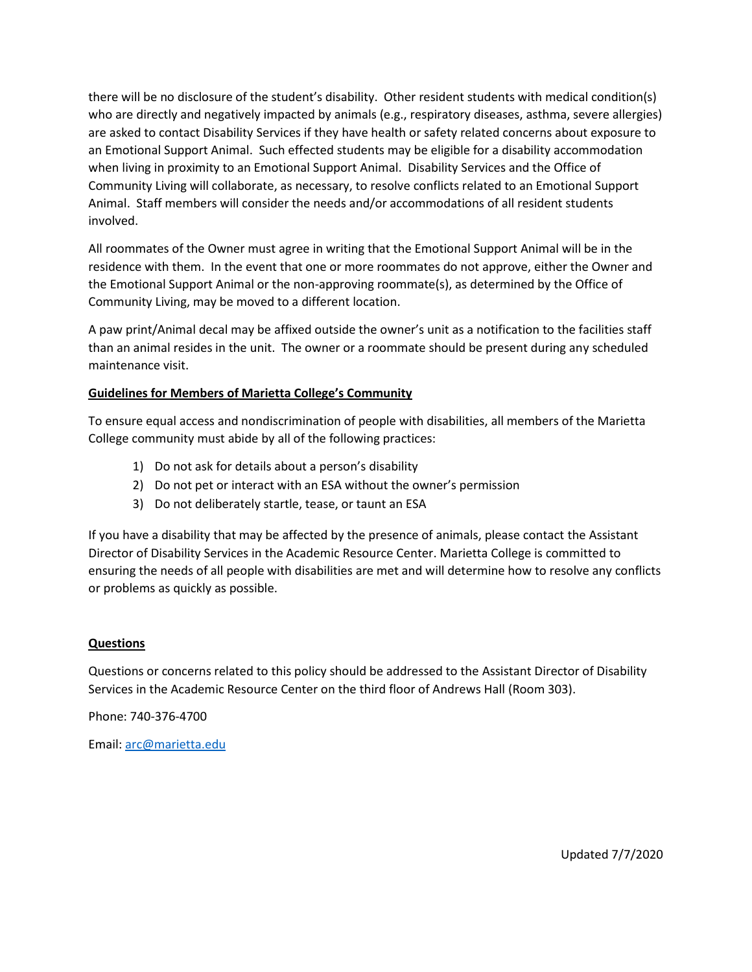there will be no disclosure of the student's disability. Other resident students with medical condition(s) who are directly and negatively impacted by animals (e.g., respiratory diseases, asthma, severe allergies) are asked to contact Disability Services if they have health or safety related concerns about exposure to an Emotional Support Animal. Such effected students may be eligible for a disability accommodation when living in proximity to an Emotional Support Animal. Disability Services and the Office of Community Living will collaborate, as necessary, to resolve conflicts related to an Emotional Support Animal. Staff members will consider the needs and/or accommodations of all resident students involved.

All roommates of the Owner must agree in writing that the Emotional Support Animal will be in the residence with them. In the event that one or more roommates do not approve, either the Owner and the Emotional Support Animal or the non-approving roommate(s), as determined by the Office of Community Living, may be moved to a different location.

A paw print/Animal decal may be affixed outside the owner's unit as a notification to the facilities staff than an animal resides in the unit. The owner or a roommate should be present during any scheduled maintenance visit.

### **Guidelines for Members of Marietta College's Community**

To ensure equal access and nondiscrimination of people with disabilities, all members of the Marietta College community must abide by all of the following practices:

- 1) Do not ask for details about a person's disability
- 2) Do not pet or interact with an ESA without the owner's permission
- 3) Do not deliberately startle, tease, or taunt an ESA

If you have a disability that may be affected by the presence of animals, please contact the Assistant Director of Disability Services in the Academic Resource Center. Marietta College is committed to ensuring the needs of all people with disabilities are met and will determine how to resolve any conflicts or problems as quickly as possible.

#### **Questions**

Questions or concerns related to this policy should be addressed to the Assistant Director of Disability Services in the Academic Resource Center on the third floor of Andrews Hall (Room 303).

Phone: 740-376-4700

Email: [arc@marietta.edu](mailto:arc@marietta.edu)

Updated 7/7/2020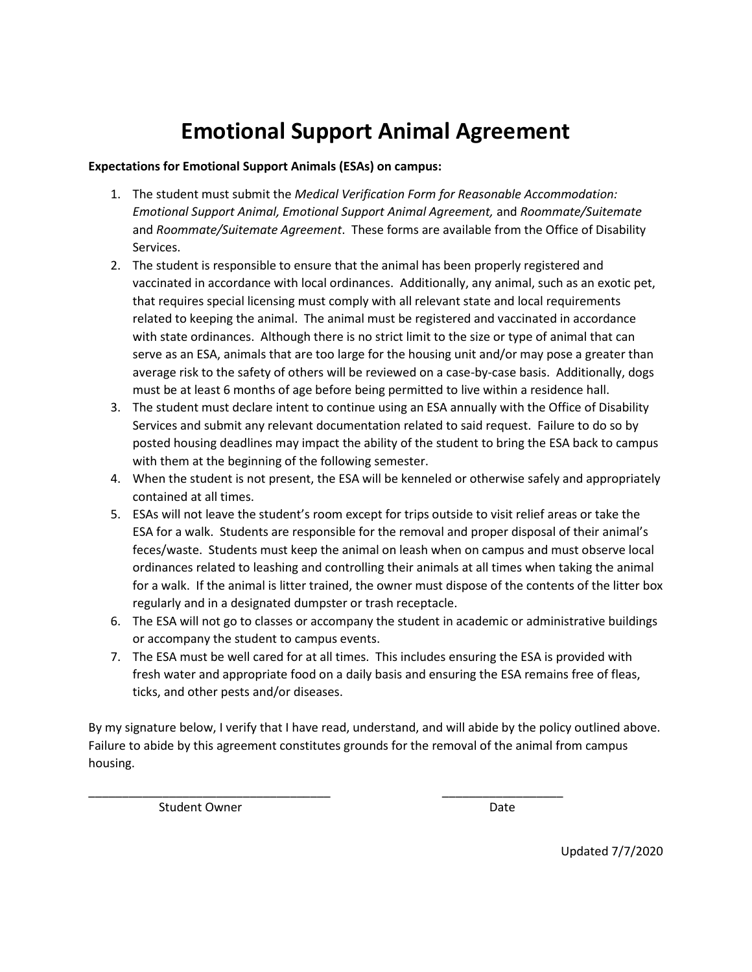# **Emotional Support Animal Agreement**

### **Expectations for Emotional Support Animals (ESAs) on campus:**

- 1. The student must submit the *Medical Verification Form for Reasonable Accommodation: Emotional Support Animal, Emotional Support Animal Agreement,* and *Roommate/Suitemate*  and *Roommate/Suitemate Agreement*. These forms are available from the Office of Disability Services.
- 2. The student is responsible to ensure that the animal has been properly registered and vaccinated in accordance with local ordinances. Additionally, any animal, such as an exotic pet, that requires special licensing must comply with all relevant state and local requirements related to keeping the animal. The animal must be registered and vaccinated in accordance with state ordinances. Although there is no strict limit to the size or type of animal that can serve as an ESA, animals that are too large for the housing unit and/or may pose a greater than average risk to the safety of others will be reviewed on a case-by-case basis. Additionally, dogs must be at least 6 months of age before being permitted to live within a residence hall.
- 3. The student must declare intent to continue using an ESA annually with the Office of Disability Services and submit any relevant documentation related to said request. Failure to do so by posted housing deadlines may impact the ability of the student to bring the ESA back to campus with them at the beginning of the following semester.
- 4. When the student is not present, the ESA will be kenneled or otherwise safely and appropriately contained at all times.
- 5. ESAs will not leave the student's room except for trips outside to visit relief areas or take the ESA for a walk. Students are responsible for the removal and proper disposal of their animal's feces/waste. Students must keep the animal on leash when on campus and must observe local ordinances related to leashing and controlling their animals at all times when taking the animal for a walk. If the animal is litter trained, the owner must dispose of the contents of the litter box regularly and in a designated dumpster or trash receptacle.
- 6. The ESA will not go to classes or accompany the student in academic or administrative buildings or accompany the student to campus events.
- 7. The ESA must be well cared for at all times. This includes ensuring the ESA is provided with fresh water and appropriate food on a daily basis and ensuring the ESA remains free of fleas, ticks, and other pests and/or diseases.

By my signature below, I verify that I have read, understand, and will abide by the policy outlined above. Failure to abide by this agreement constitutes grounds for the removal of the animal from campus housing.

\_\_\_\_\_\_\_\_\_\_\_\_\_\_\_\_\_\_\_\_\_\_\_\_\_\_\_\_\_\_\_\_\_\_\_\_ \_\_\_\_\_\_\_\_\_\_\_\_\_\_\_\_\_\_

Student Owner **Date** 

Updated 7/7/2020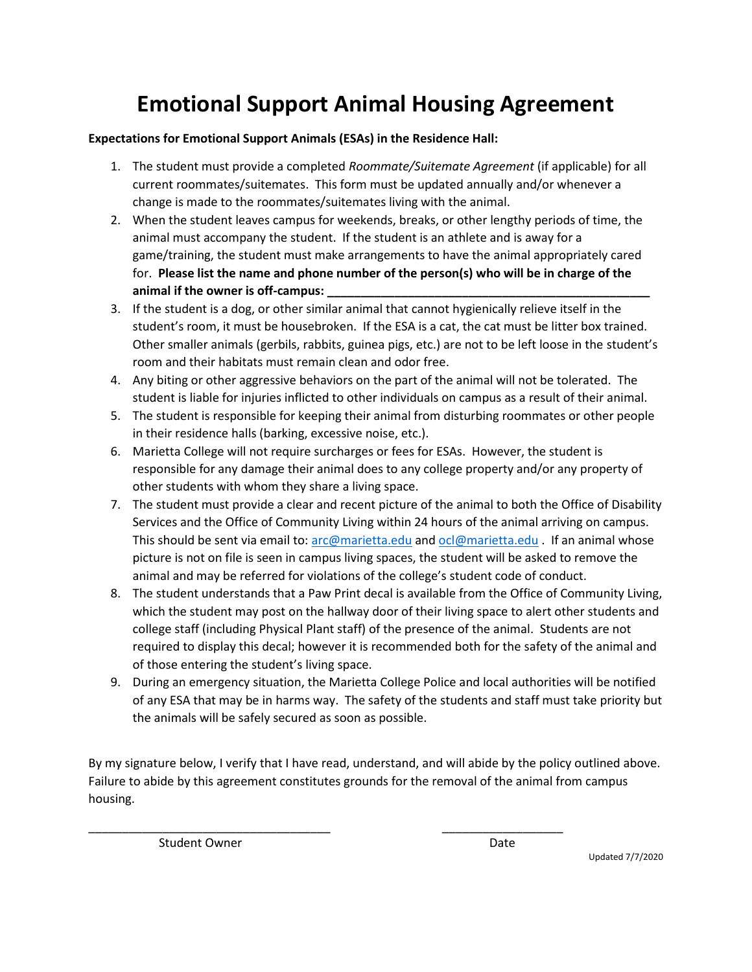# **Emotional Support Animal Housing Agreement**

### **Expectations for Emotional Support Animals (ESAs) in the Residence Hall:**

- 1. The student must provide a completed *Roommate/Suitemate Agreement* (if applicable) for all current roommates/suitemates. This form must be updated annually and/or whenever a change is made to the roommates/suitemates living with the animal.
- 2. When the student leaves campus for weekends, breaks, or other lengthy periods of time, the animal must accompany the student. If the student is an athlete and is away for a game/training, the student must make arrangements to have the animal appropriately cared for. **Please list the name and phone number of the person(s) who will be in charge of the animal if the owner is off-campus: \_\_\_\_\_\_\_\_\_\_\_\_\_\_\_\_\_\_\_\_\_\_\_\_\_\_\_\_\_\_\_\_\_\_\_\_\_\_\_\_\_\_\_\_\_\_\_\_**
- 3. If the student is a dog, or other similar animal that cannot hygienically relieve itself in the student's room, it must be housebroken. If the ESA is a cat, the cat must be litter box trained. Other smaller animals (gerbils, rabbits, guinea pigs, etc.) are not to be left loose in the student's room and their habitats must remain clean and odor free.
- 4. Any biting or other aggressive behaviors on the part of the animal will not be tolerated. The student is liable for injuries inflicted to other individuals on campus as a result of their animal.
- 5. The student is responsible for keeping their animal from disturbing roommates or other people in their residence halls (barking, excessive noise, etc.).
- 6. Marietta College will not require surcharges or fees for ESAs. However, the student is responsible for any damage their animal does to any college property and/or any property of other students with whom they share a living space.
- 7. The student must provide a clear and recent picture of the animal to both the Office of Disability Services and the Office of Community Living within 24 hours of the animal arriving on campus. This should be sent via email to[: arc@marietta.edu](mailto:arc@marietta.edu) and [ocl@marietta.edu](mailto:ocl@marietta.edu) . If an animal whose picture is not on file is seen in campus living spaces, the student will be asked to remove the animal and may be referred for violations of the college's student code of conduct.
- 8. The student understands that a Paw Print decal is available from the Office of Community Living, which the student may post on the hallway door of their living space to alert other students and college staff (including Physical Plant staff) of the presence of the animal. Students are not required to display this decal; however it is recommended both for the safety of the animal and of those entering the student's living space.
- 9. During an emergency situation, the Marietta College Police and local authorities will be notified of any ESA that may be in harms way. The safety of the students and staff must take priority but the animals will be safely secured as soon as possible.

By my signature below, I verify that I have read, understand, and will abide by the policy outlined above. Failure to abide by this agreement constitutes grounds for the removal of the animal from campus housing.

\_\_\_\_\_\_\_\_\_\_\_\_\_\_\_\_\_\_\_\_\_\_\_\_\_\_\_\_\_\_\_\_\_\_\_\_ \_\_\_\_\_\_\_\_\_\_\_\_\_\_\_\_\_\_

Student Owner Date

Updated 7/7/2020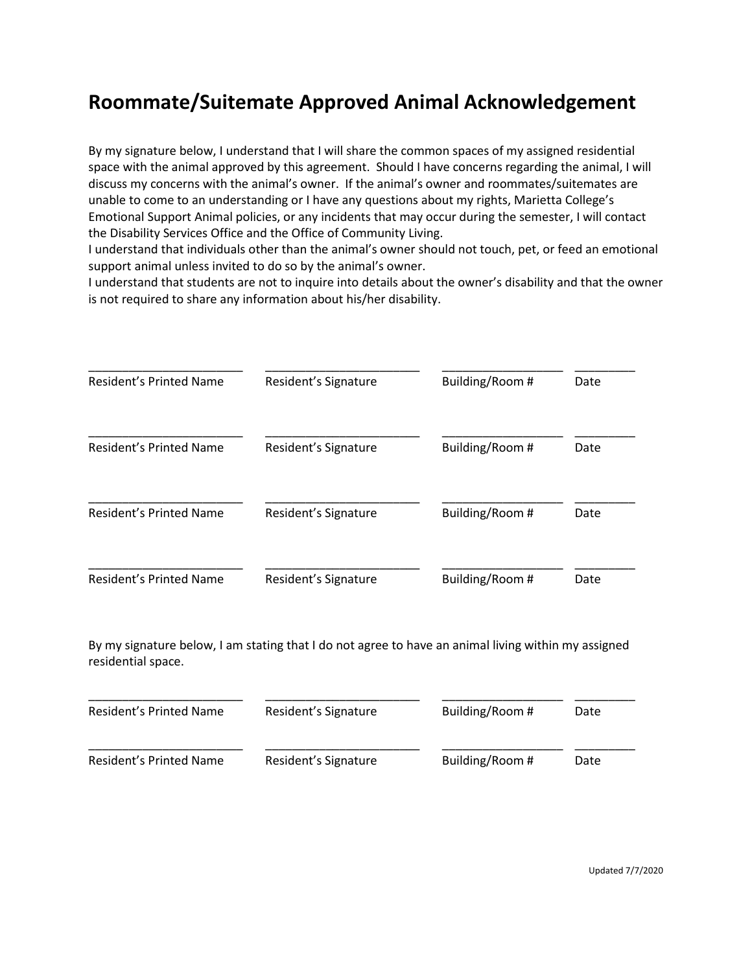### **Roommate/Suitemate Approved Animal Acknowledgement**

By my signature below, I understand that I will share the common spaces of my assigned residential space with the animal approved by this agreement. Should I have concerns regarding the animal, I will discuss my concerns with the animal's owner. If the animal's owner and roommates/suitemates are unable to come to an understanding or I have any questions about my rights, Marietta College's Emotional Support Animal policies, or any incidents that may occur during the semester, I will contact the Disability Services Office and the Office of Community Living.

I understand that individuals other than the animal's owner should not touch, pet, or feed an emotional support animal unless invited to do so by the animal's owner.

I understand that students are not to inquire into details about the owner's disability and that the owner is not required to share any information about his/her disability.

| Resident's Printed Name        | Resident's Signature | Building/Room # | Date |
|--------------------------------|----------------------|-----------------|------|
| Resident's Printed Name        | Resident's Signature | Building/Room # | Date |
| <b>Resident's Printed Name</b> | Resident's Signature | Building/Room # | Date |
| <b>Resident's Printed Name</b> | Resident's Signature | Building/Room # | Date |

By my signature below, I am stating that I do not agree to have an animal living within my assigned residential space.

| Resident's Printed Name | Resident's Signature | Building/Room # | Date |
|-------------------------|----------------------|-----------------|------|
| Resident's Printed Name | Resident's Signature | Building/Room # | Date |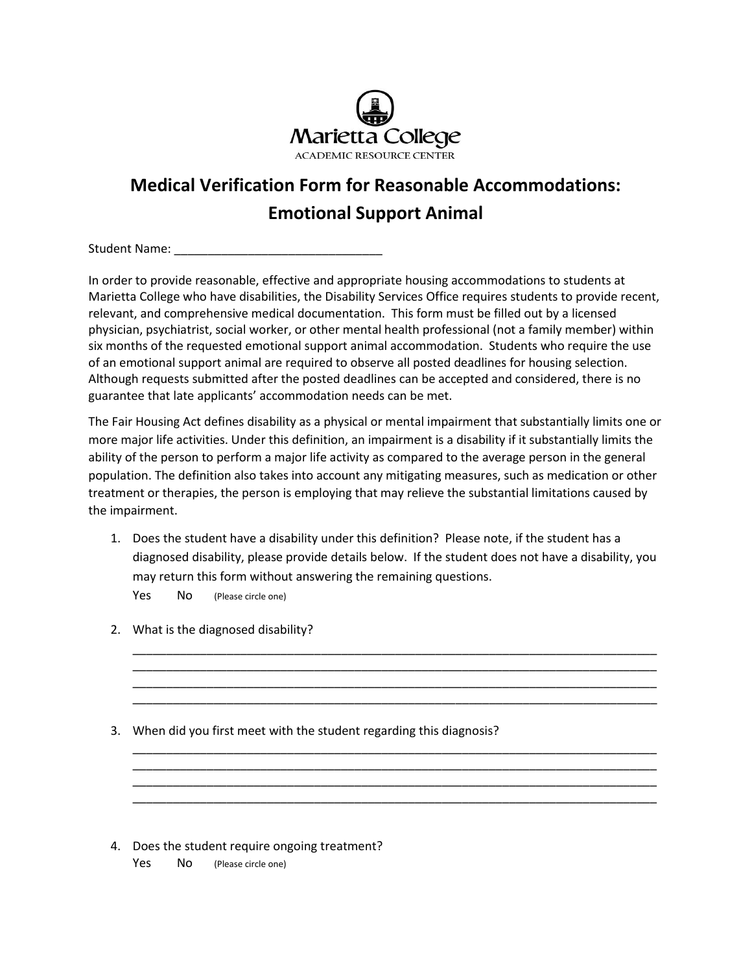

## **Medical Verification Form for Reasonable Accommodations: Emotional Support Animal**

Student Name: \_\_\_\_\_\_\_\_\_\_\_\_\_\_\_\_\_\_\_\_\_\_\_\_\_\_\_\_\_\_\_

In order to provide reasonable, effective and appropriate housing accommodations to students at Marietta College who have disabilities, the Disability Services Office requires students to provide recent, relevant, and comprehensive medical documentation. This form must be filled out by a licensed physician, psychiatrist, social worker, or other mental health professional (not a family member) within six months of the requested emotional support animal accommodation. Students who require the use of an emotional support animal are required to observe all posted deadlines for housing selection. Although requests submitted after the posted deadlines can be accepted and considered, there is no guarantee that late applicants' accommodation needs can be met.

The Fair Housing Act defines disability as a physical or mental impairment that substantially limits one or more major life activities. Under this definition, an impairment is a disability if it substantially limits the ability of the person to perform a major life activity as compared to the average person in the general population. The definition also takes into account any mitigating measures, such as medication or other treatment or therapies, the person is employing that may relieve the substantial limitations caused by the impairment.

1. Does the student have a disability under this definition? Please note, if the student has a diagnosed disability, please provide details below. If the student does not have a disability, you may return this form without answering the remaining questions.

\_\_\_\_\_\_\_\_\_\_\_\_\_\_\_\_\_\_\_\_\_\_\_\_\_\_\_\_\_\_\_\_\_\_\_\_\_\_\_\_\_\_\_\_\_\_\_\_\_\_\_\_\_\_\_\_\_\_\_\_\_\_\_\_\_\_\_\_\_\_\_\_\_\_\_\_\_\_ \_\_\_\_\_\_\_\_\_\_\_\_\_\_\_\_\_\_\_\_\_\_\_\_\_\_\_\_\_\_\_\_\_\_\_\_\_\_\_\_\_\_\_\_\_\_\_\_\_\_\_\_\_\_\_\_\_\_\_\_\_\_\_\_\_\_\_\_\_\_\_\_\_\_\_\_\_\_ \_\_\_\_\_\_\_\_\_\_\_\_\_\_\_\_\_\_\_\_\_\_\_\_\_\_\_\_\_\_\_\_\_\_\_\_\_\_\_\_\_\_\_\_\_\_\_\_\_\_\_\_\_\_\_\_\_\_\_\_\_\_\_\_\_\_\_\_\_\_\_\_\_\_\_\_\_\_ \_\_\_\_\_\_\_\_\_\_\_\_\_\_\_\_\_\_\_\_\_\_\_\_\_\_\_\_\_\_\_\_\_\_\_\_\_\_\_\_\_\_\_\_\_\_\_\_\_\_\_\_\_\_\_\_\_\_\_\_\_\_\_\_\_\_\_\_\_\_\_\_\_\_\_\_\_\_

\_\_\_\_\_\_\_\_\_\_\_\_\_\_\_\_\_\_\_\_\_\_\_\_\_\_\_\_\_\_\_\_\_\_\_\_\_\_\_\_\_\_\_\_\_\_\_\_\_\_\_\_\_\_\_\_\_\_\_\_\_\_\_\_\_\_\_\_\_\_\_\_\_\_\_\_\_\_ \_\_\_\_\_\_\_\_\_\_\_\_\_\_\_\_\_\_\_\_\_\_\_\_\_\_\_\_\_\_\_\_\_\_\_\_\_\_\_\_\_\_\_\_\_\_\_\_\_\_\_\_\_\_\_\_\_\_\_\_\_\_\_\_\_\_\_\_\_\_\_\_\_\_\_\_\_\_ \_\_\_\_\_\_\_\_\_\_\_\_\_\_\_\_\_\_\_\_\_\_\_\_\_\_\_\_\_\_\_\_\_\_\_\_\_\_\_\_\_\_\_\_\_\_\_\_\_\_\_\_\_\_\_\_\_\_\_\_\_\_\_\_\_\_\_\_\_\_\_\_\_\_\_\_\_\_ \_\_\_\_\_\_\_\_\_\_\_\_\_\_\_\_\_\_\_\_\_\_\_\_\_\_\_\_\_\_\_\_\_\_\_\_\_\_\_\_\_\_\_\_\_\_\_\_\_\_\_\_\_\_\_\_\_\_\_\_\_\_\_\_\_\_\_\_\_\_\_\_\_\_\_\_\_\_

Yes No (Please circle one)

- 2. What is the diagnosed disability?
- 3. When did you first meet with the student regarding this diagnosis?

4. Does the student require ongoing treatment? Yes No (Please circle one)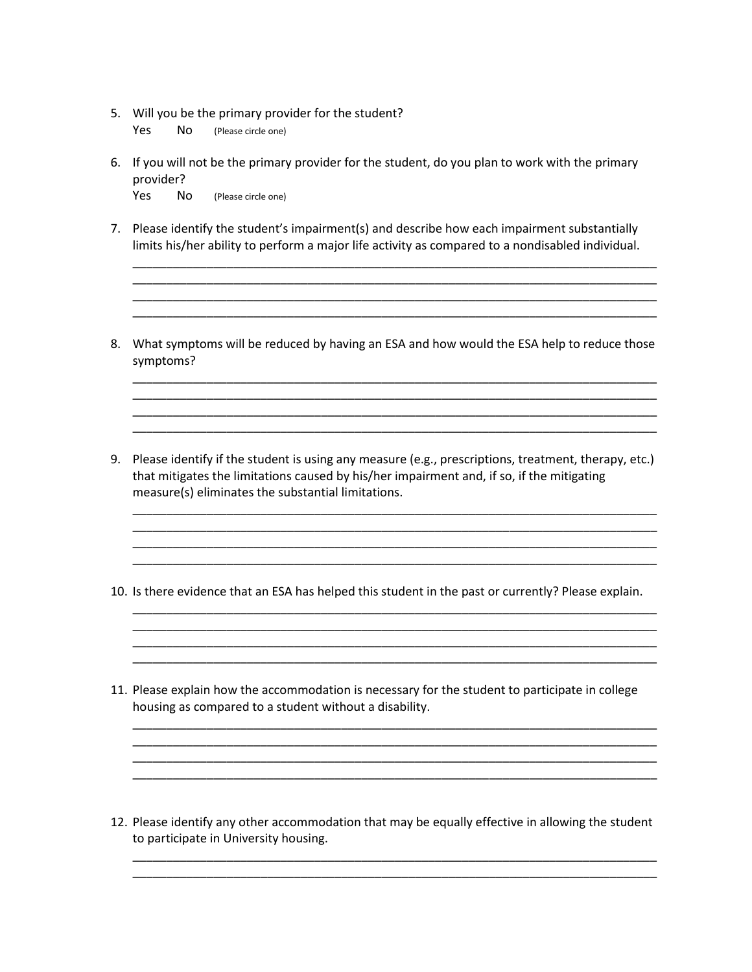5. Will you be the primary provider for the student?

Yes No (Please circle one)

- 6. If you will not be the primary provider for the student, do you plan to work with the primary provider? Yes No (Please circle one)
- 7. Please identify the student's impairment(s) and describe how each impairment substantially limits his/her ability to perform a major life activity as compared to a nondisabled individual.

\_\_\_\_\_\_\_\_\_\_\_\_\_\_\_\_\_\_\_\_\_\_\_\_\_\_\_\_\_\_\_\_\_\_\_\_\_\_\_\_\_\_\_\_\_\_\_\_\_\_\_\_\_\_\_\_\_\_\_\_\_\_\_\_\_\_\_\_\_\_\_\_\_\_\_\_\_\_ \_\_\_\_\_\_\_\_\_\_\_\_\_\_\_\_\_\_\_\_\_\_\_\_\_\_\_\_\_\_\_\_\_\_\_\_\_\_\_\_\_\_\_\_\_\_\_\_\_\_\_\_\_\_\_\_\_\_\_\_\_\_\_\_\_\_\_\_\_\_\_\_\_\_\_\_\_\_ \_\_\_\_\_\_\_\_\_\_\_\_\_\_\_\_\_\_\_\_\_\_\_\_\_\_\_\_\_\_\_\_\_\_\_\_\_\_\_\_\_\_\_\_\_\_\_\_\_\_\_\_\_\_\_\_\_\_\_\_\_\_\_\_\_\_\_\_\_\_\_\_\_\_\_\_\_\_ \_\_\_\_\_\_\_\_\_\_\_\_\_\_\_\_\_\_\_\_\_\_\_\_\_\_\_\_\_\_\_\_\_\_\_\_\_\_\_\_\_\_\_\_\_\_\_\_\_\_\_\_\_\_\_\_\_\_\_\_\_\_\_\_\_\_\_\_\_\_\_\_\_\_\_\_\_\_

8. What symptoms will be reduced by having an ESA and how would the ESA help to reduce those symptoms?

\_\_\_\_\_\_\_\_\_\_\_\_\_\_\_\_\_\_\_\_\_\_\_\_\_\_\_\_\_\_\_\_\_\_\_\_\_\_\_\_\_\_\_\_\_\_\_\_\_\_\_\_\_\_\_\_\_\_\_\_\_\_\_\_\_\_\_\_\_\_\_\_\_\_\_\_\_\_ \_\_\_\_\_\_\_\_\_\_\_\_\_\_\_\_\_\_\_\_\_\_\_\_\_\_\_\_\_\_\_\_\_\_\_\_\_\_\_\_\_\_\_\_\_\_\_\_\_\_\_\_\_\_\_\_\_\_\_\_\_\_\_\_\_\_\_\_\_\_\_\_\_\_\_\_\_\_ \_\_\_\_\_\_\_\_\_\_\_\_\_\_\_\_\_\_\_\_\_\_\_\_\_\_\_\_\_\_\_\_\_\_\_\_\_\_\_\_\_\_\_\_\_\_\_\_\_\_\_\_\_\_\_\_\_\_\_\_\_\_\_\_\_\_\_\_\_\_\_\_\_\_\_\_\_\_

9. Please identify if the student is using any measure (e.g., prescriptions, treatment, therapy, etc.) that mitigates the limitations caused by his/her impairment and, if so, if the mitigating measure(s) eliminates the substantial limitations.

\_\_\_\_\_\_\_\_\_\_\_\_\_\_\_\_\_\_\_\_\_\_\_\_\_\_\_\_\_\_\_\_\_\_\_\_\_\_\_\_\_\_\_\_\_\_\_\_\_\_\_\_\_\_\_\_\_\_\_\_\_\_\_\_\_\_\_\_\_\_\_\_\_\_\_\_\_\_ \_\_\_\_\_\_\_\_\_\_\_\_\_\_\_\_\_\_\_\_\_\_\_\_\_\_\_\_\_\_\_\_\_\_\_\_\_\_\_\_\_\_\_\_\_\_\_\_\_\_\_\_\_\_\_\_\_\_\_\_\_\_\_\_\_\_\_\_\_\_\_\_\_\_\_\_\_\_ \_\_\_\_\_\_\_\_\_\_\_\_\_\_\_\_\_\_\_\_\_\_\_\_\_\_\_\_\_\_\_\_\_\_\_\_\_\_\_\_\_\_\_\_\_\_\_\_\_\_\_\_\_\_\_\_\_\_\_\_\_\_\_\_\_\_\_\_\_\_\_\_\_\_\_\_\_\_ \_\_\_\_\_\_\_\_\_\_\_\_\_\_\_\_\_\_\_\_\_\_\_\_\_\_\_\_\_\_\_\_\_\_\_\_\_\_\_\_\_\_\_\_\_\_\_\_\_\_\_\_\_\_\_\_\_\_\_\_\_\_\_\_\_\_\_\_\_\_\_\_\_\_\_\_\_\_

\_\_\_\_\_\_\_\_\_\_\_\_\_\_\_\_\_\_\_\_\_\_\_\_\_\_\_\_\_\_\_\_\_\_\_\_\_\_\_\_\_\_\_\_\_\_\_\_\_\_\_\_\_\_\_\_\_\_\_\_\_\_\_\_\_\_\_\_\_\_\_\_\_\_\_\_\_\_ \_\_\_\_\_\_\_\_\_\_\_\_\_\_\_\_\_\_\_\_\_\_\_\_\_\_\_\_\_\_\_\_\_\_\_\_\_\_\_\_\_\_\_\_\_\_\_\_\_\_\_\_\_\_\_\_\_\_\_\_\_\_\_\_\_\_\_\_\_\_\_\_\_\_\_\_\_\_ \_\_\_\_\_\_\_\_\_\_\_\_\_\_\_\_\_\_\_\_\_\_\_\_\_\_\_\_\_\_\_\_\_\_\_\_\_\_\_\_\_\_\_\_\_\_\_\_\_\_\_\_\_\_\_\_\_\_\_\_\_\_\_\_\_\_\_\_\_\_\_\_\_\_\_\_\_\_ \_\_\_\_\_\_\_\_\_\_\_\_\_\_\_\_\_\_\_\_\_\_\_\_\_\_\_\_\_\_\_\_\_\_\_\_\_\_\_\_\_\_\_\_\_\_\_\_\_\_\_\_\_\_\_\_\_\_\_\_\_\_\_\_\_\_\_\_\_\_\_\_\_\_\_\_\_\_

\_\_\_\_\_\_\_\_\_\_\_\_\_\_\_\_\_\_\_\_\_\_\_\_\_\_\_\_\_\_\_\_\_\_\_\_\_\_\_\_\_\_\_\_\_\_\_\_\_\_\_\_\_\_\_\_\_\_\_\_\_\_\_\_\_\_\_\_\_\_\_\_\_\_\_\_\_\_ \_\_\_\_\_\_\_\_\_\_\_\_\_\_\_\_\_\_\_\_\_\_\_\_\_\_\_\_\_\_\_\_\_\_\_\_\_\_\_\_\_\_\_\_\_\_\_\_\_\_\_\_\_\_\_\_\_\_\_\_\_\_\_\_\_\_\_\_\_\_\_\_\_\_\_\_\_\_ \_\_\_\_\_\_\_\_\_\_\_\_\_\_\_\_\_\_\_\_\_\_\_\_\_\_\_\_\_\_\_\_\_\_\_\_\_\_\_\_\_\_\_\_\_\_\_\_\_\_\_\_\_\_\_\_\_\_\_\_\_\_\_\_\_\_\_\_\_\_\_\_\_\_\_\_\_\_ \_\_\_\_\_\_\_\_\_\_\_\_\_\_\_\_\_\_\_\_\_\_\_\_\_\_\_\_\_\_\_\_\_\_\_\_\_\_\_\_\_\_\_\_\_\_\_\_\_\_\_\_\_\_\_\_\_\_\_\_\_\_\_\_\_\_\_\_\_\_\_\_\_\_\_\_\_\_

- 10. Is there evidence that an ESA has helped this student in the past or currently? Please explain.
- 11. Please explain how the accommodation is necessary for the student to participate in college housing as compared to a student without a disability.

12. Please identify any other accommodation that may be equally effective in allowing the student to participate in University housing.

\_\_\_\_\_\_\_\_\_\_\_\_\_\_\_\_\_\_\_\_\_\_\_\_\_\_\_\_\_\_\_\_\_\_\_\_\_\_\_\_\_\_\_\_\_\_\_\_\_\_\_\_\_\_\_\_\_\_\_\_\_\_\_\_\_\_\_\_\_\_\_\_\_\_\_\_\_\_ \_\_\_\_\_\_\_\_\_\_\_\_\_\_\_\_\_\_\_\_\_\_\_\_\_\_\_\_\_\_\_\_\_\_\_\_\_\_\_\_\_\_\_\_\_\_\_\_\_\_\_\_\_\_\_\_\_\_\_\_\_\_\_\_\_\_\_\_\_\_\_\_\_\_\_\_\_\_